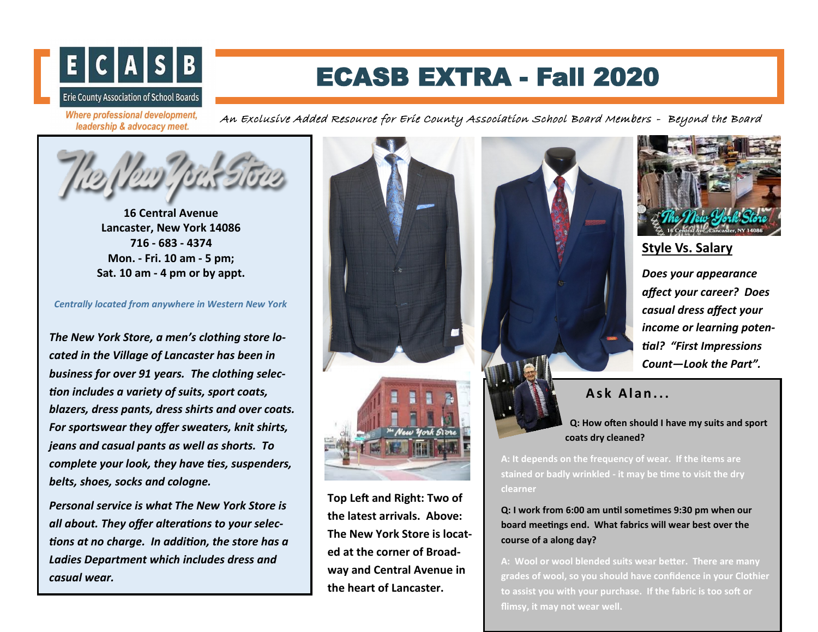

## ECASB EXTRA - Fall 2020

**Where professional development,** leadership & advocacy meet.

An Exclusive Added Resource for Erie County Association School Board Members - Beyond the Board



**16 Central Avenue Lancaster, New York 14086 716 - 683 - 4374 Mon. - Fri. 10 am - 5 pm; Sat. 10 am - 4 pm or by appt.** 

*Centrally located from anywhere in Western New York*

*The New York Store, a men's clothing store located in the Village of Lancaster has been in business for over 91 years. The clothing selection includes a variety of suits, sport coats, blazers, dress pants, dress shirts and over coats. For sportswear they offer sweaters, knit shirts, jeans and casual pants as well as shorts. To complete your look, they have ties, suspenders, belts, shoes, socks and cologne.* 

*Personal service is what The New York Store is all about. They offer alterations to your selections at no charge. In addition, the store has a Ladies Department which includes dress and casual wear.* 



**Top Left and Right: Two of the latest arrivals. Above: The New York Store is located at the corner of Broadway and Central Avenue in the heart of Lancaster.**





**Style Vs. Salary**

*Does your appearance affect your career? Does casual dress affect your income or learning potential? "First Impressions Count—Look the Part".* 

## **A s k A l a n . . .**

 **Q: How often should I have my suits and sport coats dry cleaned?** 

**A: It depends on the frequency of wear. If the items are stained or badly wrinkled - it may be time to visit the dry clearner** 

**Q: I work from 6:00 am until sometimes 9:30 pm when our board meetings end. What fabrics will wear best over the course of a along day?**

**A: Wool or wool blended suits wear better. There are many grades of wool, so you should have confidence in your Clothier to assist you with your purchase. If the fabric is too soft or flimsy, it may not wear well.**